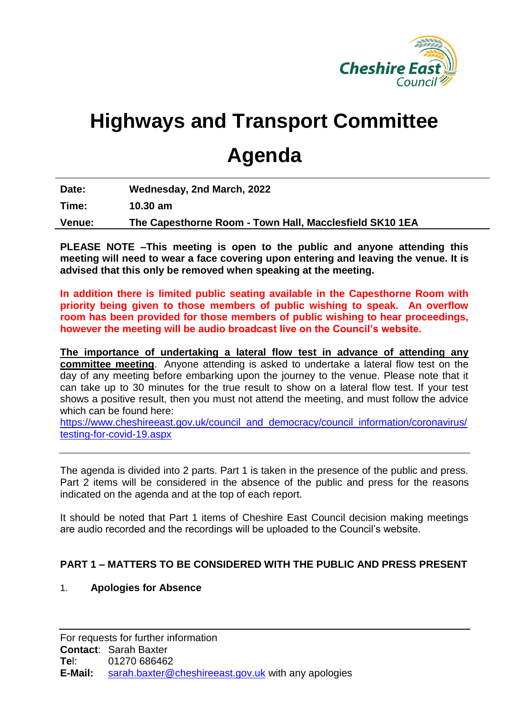

# **Highways and Transport Committee**

## **Agenda**

| Date:  | Wednesday, 2nd March, 2022                              |
|--------|---------------------------------------------------------|
| Time:  | $10.30 \text{ am}$                                      |
| Venue: | The Capesthorne Room - Town Hall, Macclesfield SK10 1EA |

**PLEASE NOTE –This meeting is open to the public and anyone attending this meeting will need to wear a face covering upon entering and leaving the venue. It is advised that this only be removed when speaking at the meeting.**

**In addition there is limited public seating available in the Capesthorne Room with priority being given to those members of public wishing to speak. An overflow room has been provided for those members of public wishing to hear proceedings, however the meeting will be audio broadcast live on the Council's website.**

**The importance of undertaking a lateral flow test in advance of attending any committee meeting**. Anyone attending is asked to undertake a lateral flow test on the day of any meeting before embarking upon the journey to the venue. Please note that it can take up to 30 minutes for the true result to show on a lateral flow test. If your test shows a positive result, then you must not attend the meeting, and must follow the advice which can be found here:

[https://www.cheshireeast.gov.uk/council\\_and\\_democracy/council\\_information/coronavirus/](https://www.cheshireeast.gov.uk/council_and_democracy/council_information/coronavirus/testing-for-covid-19.aspx) [testing-for-covid-19.aspx](https://www.cheshireeast.gov.uk/council_and_democracy/council_information/coronavirus/testing-for-covid-19.aspx)

The agenda is divided into 2 parts. Part 1 is taken in the presence of the public and press. Part 2 items will be considered in the absence of the public and press for the reasons indicated on the agenda and at the top of each report.

It should be noted that Part 1 items of Cheshire East Council decision making meetings are audio recorded and the recordings will be uploaded to the Council's website.

### **PART 1 – MATTERS TO BE CONSIDERED WITH THE PUBLIC AND PRESS PRESENT**

#### 1. **Apologies for Absence**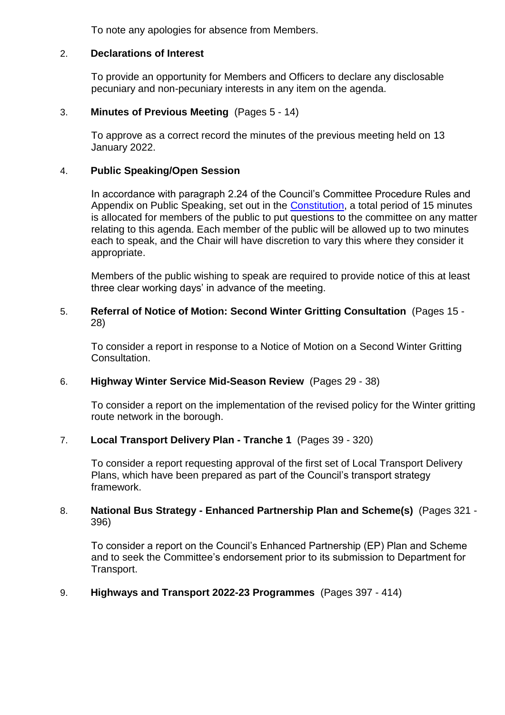To note any apologies for absence from Members.

#### 2. **Declarations of Interest**

To provide an opportunity for Members and Officers to declare any disclosable pecuniary and non-pecuniary interests in any item on the agenda.

#### 3. **Minutes of Previous Meeting** (Pages 5 - 14)

To approve as a correct record the minutes of the previous meeting held on 13 January 2022.

#### 4. **Public Speaking/Open Session**

In accordance with paragraph 2.24 of the Council's Committee Procedure Rules and Appendix on Public Speaking, set out in the **Constitution**, a total period of 15 minutes is allocated for members of the public to put questions to the committee on any matter relating to this agenda. Each member of the public will be allowed up to two minutes each to speak, and the Chair will have discretion to vary this where they consider it appropriate.

Members of the public wishing to speak are required to provide notice of this at least three clear working days' in advance of the meeting.

#### 5. **Referral of Notice of Motion: Second Winter Gritting Consultation** (Pages 15 - 28)

To consider a report in response to a Notice of Motion on a Second Winter Gritting Consultation.

#### 6. **Highway Winter Service Mid-Season Review** (Pages 29 - 38)

To consider a report on the implementation of the revised policy for the Winter gritting route network in the borough.

#### 7. **Local Transport Delivery Plan - Tranche 1** (Pages 39 - 320)

To consider a report requesting approval of the first set of Local Transport Delivery Plans, which have been prepared as part of the Council's transport strategy framework.

#### 8. **National Bus Strategy - Enhanced Partnership Plan and Scheme(s)** (Pages 321 - 396)

To consider a report on the Council's Enhanced Partnership (EP) Plan and Scheme and to seek the Committee's endorsement prior to its submission to Department for Transport.

#### 9. **Highways and Transport 2022-23 Programmes** (Pages 397 - 414)